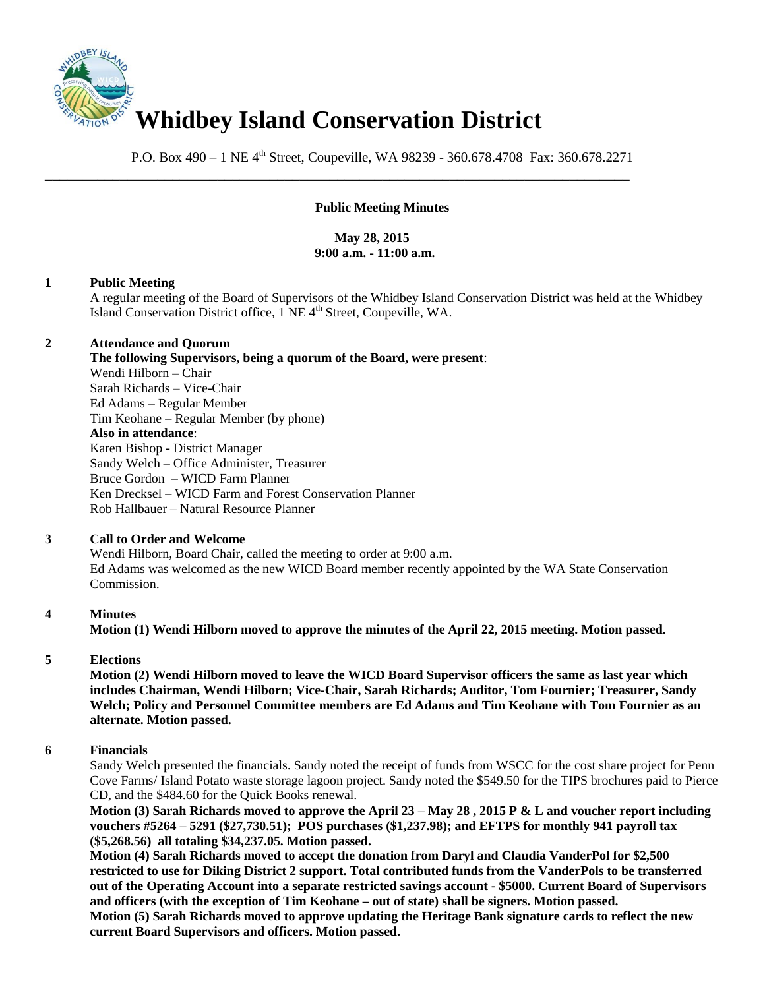

P.O. Box 490 – 1 NE 4<sup>th</sup> Street, Coupeville, WA 98239 - 360.678.4708 Fax: 360.678.2271

\_\_\_\_\_\_\_\_\_\_\_\_\_\_\_\_\_\_\_\_\_\_\_\_\_\_\_\_\_\_\_\_\_\_\_\_\_\_\_\_\_\_\_\_\_\_\_\_\_\_\_\_\_\_\_\_\_\_\_\_\_\_\_\_\_\_\_\_\_\_\_\_\_\_\_\_\_\_

# **Public Meeting Minutes**

# **May 28, 2015 9:00 a.m. - 11:00 a.m.**

## **1 Public Meeting**

A regular meeting of the Board of Supervisors of the Whidbey Island Conservation District was held at the Whidbey Island Conservation District office, 1 NE 4<sup>th</sup> Street, Coupeville, WA.

## **2 Attendance and Quorum**

**The following Supervisors, being a quorum of the Board, were present**: Wendi Hilborn – Chair Sarah Richards – Vice-Chair Ed Adams – Regular Member Tim Keohane – Regular Member (by phone) **Also in attendance**: Karen Bishop - District Manager Sandy Welch – Office Administer, Treasurer Bruce Gordon – WICD Farm Planner Ken Drecksel – WICD Farm and Forest Conservation Planner Rob Hallbauer – Natural Resource Planner

## **3 Call to Order and Welcome**

Wendi Hilborn, Board Chair, called the meeting to order at 9:00 a.m. Ed Adams was welcomed as the new WICD Board member recently appointed by the WA State Conservation Commission.

## **4 Minutes**

**Motion (1) Wendi Hilborn moved to approve the minutes of the April 22, 2015 meeting. Motion passed.** 

## **5 Elections**

**Motion (2) Wendi Hilborn moved to leave the WICD Board Supervisor officers the same as last year which includes Chairman, Wendi Hilborn; Vice-Chair, Sarah Richards; Auditor, Tom Fournier; Treasurer, Sandy Welch; Policy and Personnel Committee members are Ed Adams and Tim Keohane with Tom Fournier as an alternate. Motion passed.** 

## **6 Financials**

Sandy Welch presented the financials. Sandy noted the receipt of funds from WSCC for the cost share project for Penn Cove Farms/ Island Potato waste storage lagoon project. Sandy noted the \$549.50 for the TIPS brochures paid to Pierce CD, and the \$484.60 for the Quick Books renewal.

**Motion (3) Sarah Richards moved to approve the April 23 – May 28 , 2015 P & L and voucher report including vouchers #5264 – 5291 (\$27,730.51); POS purchases (\$1,237.98); and EFTPS for monthly 941 payroll tax (\$5,268.56) all totaling \$34,237.05. Motion passed.**

**Motion (4) Sarah Richards moved to accept the donation from Daryl and Claudia VanderPol for \$2,500 restricted to use for Diking District 2 support. Total contributed funds from the VanderPols to be transferred out of the Operating Account into a separate restricted savings account - \$5000. Current Board of Supervisors and officers (with the exception of Tim Keohane – out of state) shall be signers. Motion passed.** 

**Motion (5) Sarah Richards moved to approve updating the Heritage Bank signature cards to reflect the new current Board Supervisors and officers. Motion passed.**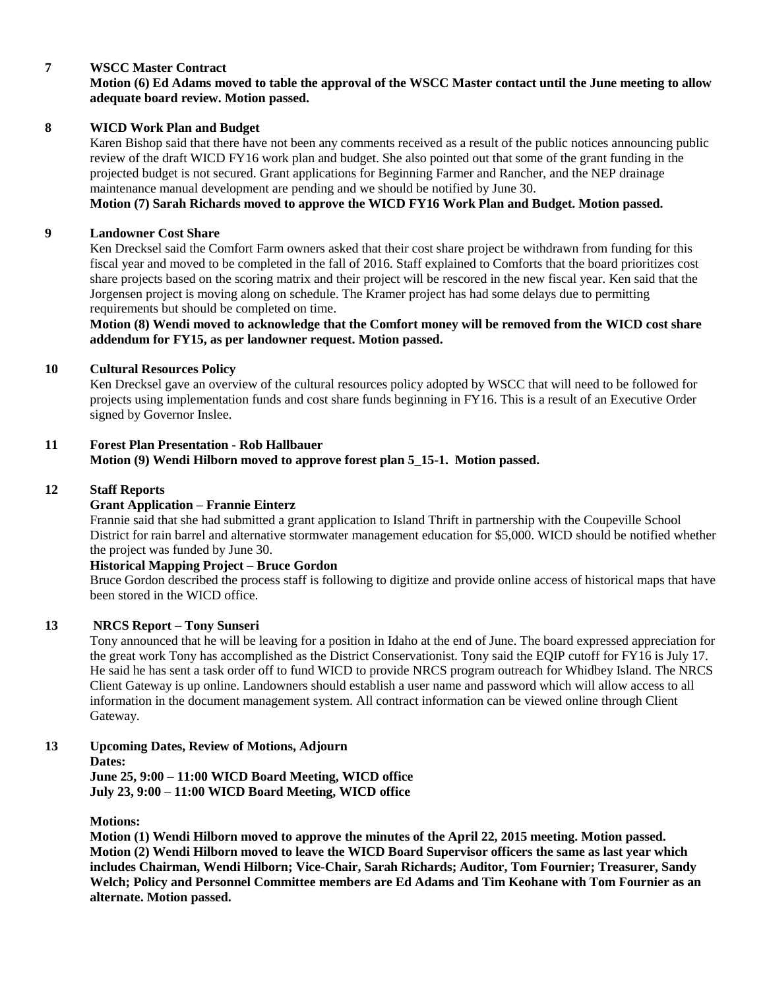# **7 WSCC Master Contract**

## **Motion (6) Ed Adams moved to table the approval of the WSCC Master contact until the June meeting to allow adequate board review. Motion passed.**

#### **8 WICD Work Plan and Budget**

Karen Bishop said that there have not been any comments received as a result of the public notices announcing public review of the draft WICD FY16 work plan and budget. She also pointed out that some of the grant funding in the projected budget is not secured. Grant applications for Beginning Farmer and Rancher, and the NEP drainage maintenance manual development are pending and we should be notified by June 30.

**Motion (7) Sarah Richards moved to approve the WICD FY16 Work Plan and Budget. Motion passed.** 

#### **9 Landowner Cost Share**

Ken Drecksel said the Comfort Farm owners asked that their cost share project be withdrawn from funding for this fiscal year and moved to be completed in the fall of 2016. Staff explained to Comforts that the board prioritizes cost share projects based on the scoring matrix and their project will be rescored in the new fiscal year. Ken said that the Jorgensen project is moving along on schedule. The Kramer project has had some delays due to permitting requirements but should be completed on time.

**Motion (8) Wendi moved to acknowledge that the Comfort money will be removed from the WICD cost share addendum for FY15, as per landowner request. Motion passed.** 

#### **10 Cultural Resources Policy**

Ken Drecksel gave an overview of the cultural resources policy adopted by WSCC that will need to be followed for projects using implementation funds and cost share funds beginning in FY16. This is a result of an Executive Order signed by Governor Inslee.

## **11 Forest Plan Presentation - Rob Hallbauer**

**Motion (9) Wendi Hilborn moved to approve forest plan 5\_15-1. Motion passed.**

#### **12 Staff Reports**

#### **Grant Application – Frannie Einterz**

Frannie said that she had submitted a grant application to Island Thrift in partnership with the Coupeville School District for rain barrel and alternative stormwater management education for \$5,000. WICD should be notified whether the project was funded by June 30.

#### **Historical Mapping Project – Bruce Gordon**

Bruce Gordon described the process staff is following to digitize and provide online access of historical maps that have been stored in the WICD office.

## **13 NRCS Report – Tony Sunseri**

Tony announced that he will be leaving for a position in Idaho at the end of June. The board expressed appreciation for the great work Tony has accomplished as the District Conservationist. Tony said the EQIP cutoff for FY16 is July 17. He said he has sent a task order off to fund WICD to provide NRCS program outreach for Whidbey Island. The NRCS Client Gateway is up online. Landowners should establish a user name and password which will allow access to all information in the document management system. All contract information can be viewed online through Client Gateway.

#### **13 Upcoming Dates, Review of Motions, Adjourn**

**Dates:** 

**June 25, 9:00 – 11:00 WICD Board Meeting, WICD office July 23, 9:00 – 11:00 WICD Board Meeting, WICD office**

**Motions:**

**Motion (1) Wendi Hilborn moved to approve the minutes of the April 22, 2015 meeting. Motion passed. Motion (2) Wendi Hilborn moved to leave the WICD Board Supervisor officers the same as last year which includes Chairman, Wendi Hilborn; Vice-Chair, Sarah Richards; Auditor, Tom Fournier; Treasurer, Sandy Welch; Policy and Personnel Committee members are Ed Adams and Tim Keohane with Tom Fournier as an alternate. Motion passed.**